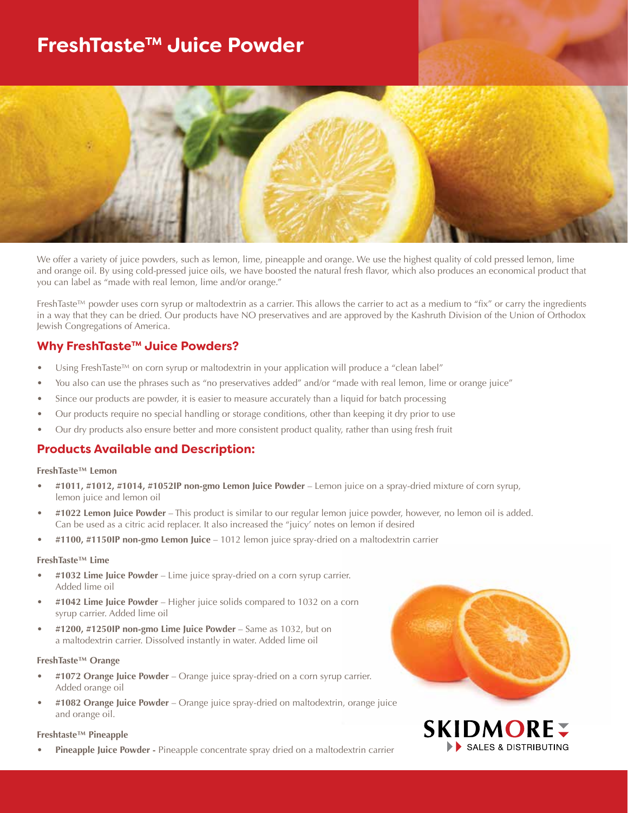# **FreshTaste™ Juice Powder**



We offer a variety of juice powders, such as lemon, lime, pineapple and orange. We use the highest quality of cold pressed lemon, lime and orange oil. By using cold-pressed juice oils, we have boosted the natural fresh flavor, which also produces an economical product that you can label as "made with real lemon, lime and/or orange."

FreshTaste™ powder uses corn syrup or maltodextrin as a carrier. This allows the carrier to act as a medium to "fix" or carry the ingredients in a way that they can be dried. Our products have NO preservatives and are approved by the Kashruth Division of the Union of Orthodox Jewish Congregations of America.

### **Why FreshTaste™ Juice Powders?**

- Using FreshTaste™ on corn syrup or maltodextrin in your application will produce a "clean label"
- You also can use the phrases such as "no preservatives added" and/or "made with real lemon, lime or orange juice"
- Since our products are powder, it is easier to measure accurately than a liquid for batch processing
- Our products require no special handling or storage conditions, other than keeping it dry prior to use
- Our dry products also ensure better and more consistent product quality, rather than using fresh fruit

### **Products Available and Description:**

#### **FreshTaste™ Lemon**

- **#1011, #1012, #1014, #1052IP non-gmo Lemon Juice Powder** Lemon juice on a spray-dried mixture of corn syrup, lemon juice and lemon oil
- **#1022 Lemon Juice Powder** This product is similar to our regular lemon juice powder, however, no lemon oil is added. Can be used as a citric acid replacer. It also increased the "juicy' notes on lemon if desired
- **#1100, #1150IP non-gmo Lemon Juice** 1012 lemon juice spray-dried on a maltodextrin carrier

#### **FreshTaste™ Lime**

- **#1032 Lime Juice Powder** Lime juice spray-dried on a corn syrup carrier. Added lime oil
- **#1042 Lime Juice Powder** Higher juice solids compared to 1032 on a corn syrup carrier. Added lime oil
- **#1200, #1250IP non-gmo Lime Juice Powder** Same as 1032, but on a maltodextrin carrier. Dissolved instantly in water. Added lime oil

#### **FreshTaste™ Orange**

- **#1072 Orange Juice Powder** Orange juice spray-dried on a corn syrup carrier. Added orange oil
- **#1082 Orange Juice Powder** Orange juice spray-dried on maltodextrin, orange juice and orange oil.

#### **Freshtaste™ Pineapple**

**• Pineapple Juice Powder -** Pineapple concentrate spray dried on a maltodextrin carrier